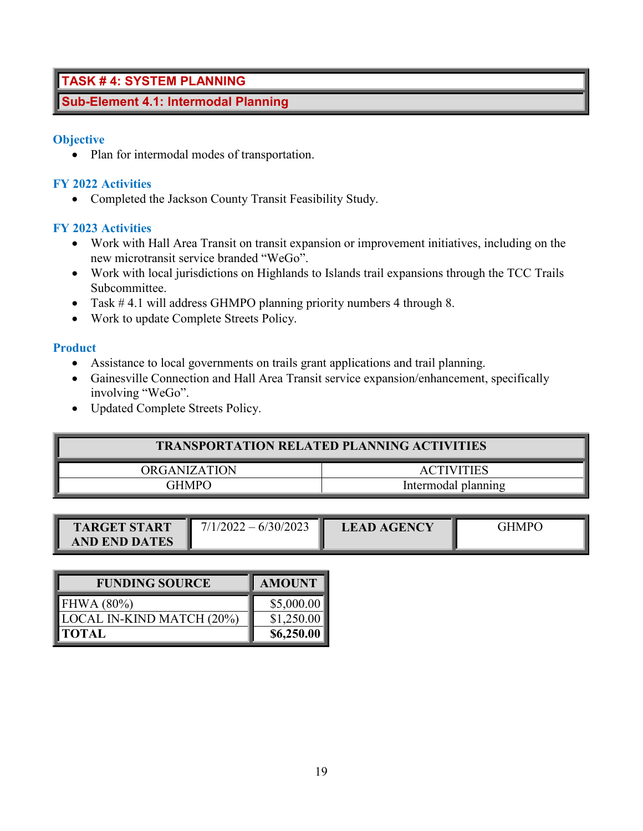# **TASK # 4: SYSTEM PLANNING**

# **Sub-Element 4.1: Intermodal Planning**

#### **Objective**

• Plan for intermodal modes of transportation.

### **FY 2022 Activities**

• Completed the Jackson County Transit Feasibility Study.

### **FY 2023 Activities**

- Work with Hall Area Transit on transit expansion or improvement initiatives, including on the new microtransit service branded "WeGo".
- Work with local jurisdictions on Highlands to Islands trail expansions through the TCC Trails Subcommittee.
- Task # 4.1 will address GHMPO planning priority numbers 4 through 8.
- Work to update Complete Streets Policy.

#### **Product**

- Assistance to local governments on trails grant applications and trail planning.
- Gainesville Connection and Hall Area Transit service expansion/enhancement, specifically involving "WeGo".
- Updated Complete Streets Policy.

| <b>TRANSPORTATION RELATED PLANNING ACTIVITIES</b> |                     |  |  |  |  |  |  |  |
|---------------------------------------------------|---------------------|--|--|--|--|--|--|--|
| ORGANIZATION                                      | <b>ACTIVITIES</b>   |  |  |  |  |  |  |  |
| <b>GHMPO</b>                                      | Intermodal planning |  |  |  |  |  |  |  |

| <b>TARGET START</b>  | $7/1/2022 - 6/30/2023$ | <b>LEAD AGENCY</b> | <b>GHMPO</b> |
|----------------------|------------------------|--------------------|--------------|
| <b>AND END DATES</b> |                        |                    |              |

| <b>FUNDING SOURCE</b>     | <b>AMOUNT</b> |
|---------------------------|---------------|
| FHWA $(80\%)$             | \$5,000.00    |
| LOCAL IN-KIND MATCH (20%) | \$1,250.00    |
| <b>TOTAL</b>              | \$6,250.00    |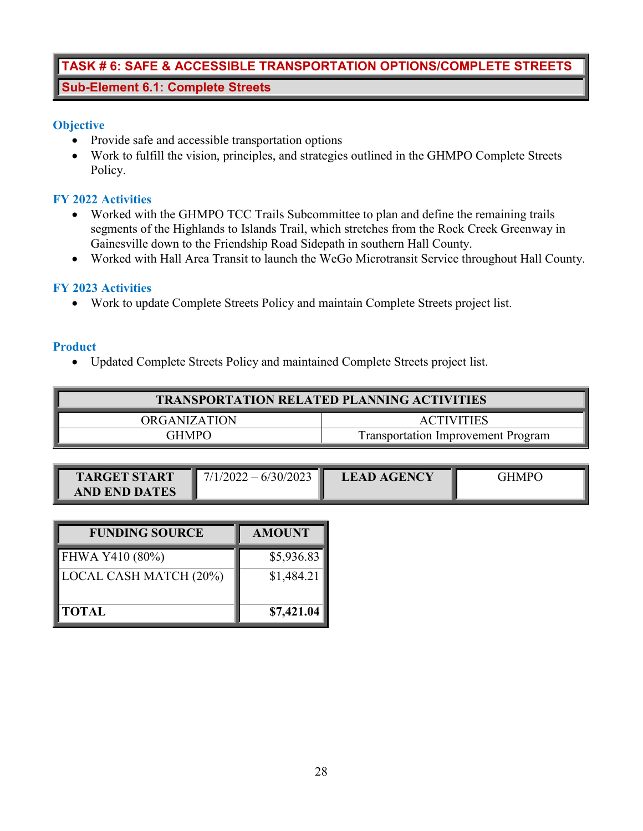# **TASK # 6: SAFE & ACCESSIBLE TRANSPORTATION OPTIONS/COMPLETE STREETS Sub-Element 6.1: Complete Streets**

## **Objective**

- Provide safe and accessible transportation options
- Work to fulfill the vision, principles, and strategies outlined in the GHMPO Complete Streets Policy.

# **FY 2022 Activities**

- Worked with the GHMPO TCC Trails Subcommittee to plan and define the remaining trails segments of the Highlands to Islands Trail, which stretches from the Rock Creek Greenway in Gainesville down to the Friendship Road Sidepath in southern Hall County.
- Worked with Hall Area Transit to launch the WeGo Microtransit Service throughout Hall County.

## **FY 2023 Activities**

• Work to update Complete Streets Policy and maintain Complete Streets project list.

### **Product**

• Updated Complete Streets Policy and maintained Complete Streets project list.

| <b>TRANSPORTATION RELATED PLANNING ACTIVITIES</b> |                                           |  |  |  |  |  |  |  |
|---------------------------------------------------|-------------------------------------------|--|--|--|--|--|--|--|
| ORGANIZATION                                      | <b>ACTIVITIES</b>                         |  |  |  |  |  |  |  |
| <b>GHMPO</b>                                      | <b>Transportation Improvement Program</b> |  |  |  |  |  |  |  |

| <b>TARGET START</b>  | $7/1/2022 - 6/30/2023$ | <b>LEAD AGENCY</b> | <b>THMPO</b> |
|----------------------|------------------------|--------------------|--------------|
| <b>AND END DATES</b> |                        |                    |              |

| <b>FUNDING SOURCE</b>  | <b>AMOUNT</b> |
|------------------------|---------------|
| FHWA Y410 (80%)        | \$5,936.83    |
| LOCAL CASH MATCH (20%) | \$1,484.21    |
| <b>TOTAL</b>           | \$7,421.04    |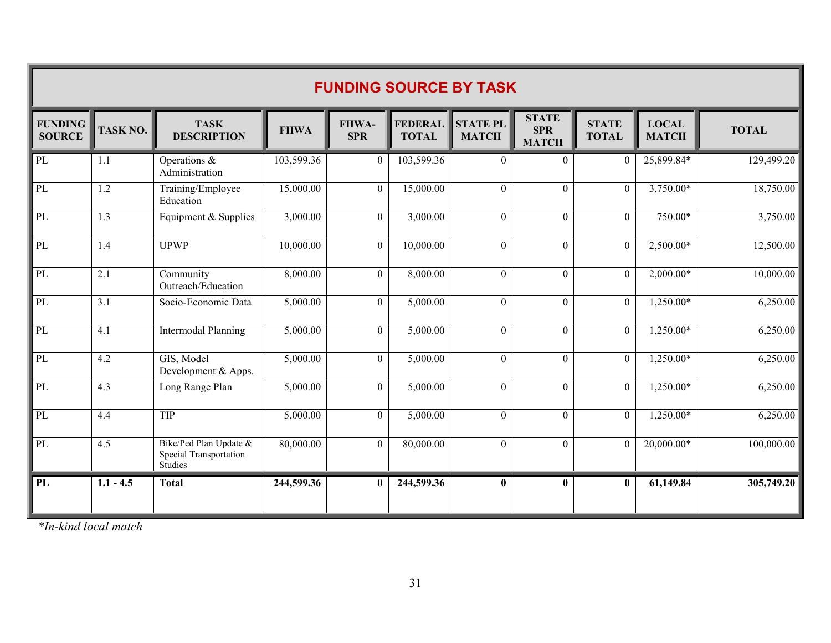| <b>FUNDING SOURCE BY TASK</b>   |                  |                                                             |             |                     |                                |                                 |                                            |                              |                              |              |  |
|---------------------------------|------------------|-------------------------------------------------------------|-------------|---------------------|--------------------------------|---------------------------------|--------------------------------------------|------------------------------|------------------------------|--------------|--|
| <b>FUNDING</b><br><b>SOURCE</b> | TASK NO.         | <b>TASK</b><br><b>DESCRIPTION</b>                           | <b>FHWA</b> | FHWA-<br><b>SPR</b> | <b>FEDERAL</b><br><b>TOTAL</b> | <b>STATE PL</b><br><b>MATCH</b> | <b>STATE</b><br><b>SPR</b><br><b>MATCH</b> | <b>STATE</b><br><b>TOTAL</b> | <b>LOCAL</b><br><b>MATCH</b> | <b>TOTAL</b> |  |
| PL                              | 1.1              | Operations &<br>Administration                              | 103,599.36  | $\theta$            | 103,599.36                     | $\Omega$                        | $\Omega$                                   | $\theta$                     | $25,899.84*$                 | 129,499.20   |  |
| PL                              | 1.2              | Training/Employee<br>Education                              | 15,000.00   | $\theta$            | 15,000.00                      | $\theta$                        | $\theta$                                   | $\theta$                     | 3,750.00*                    | 18,750.00    |  |
| PL                              | $\overline{1.3}$ | Equipment & Supplies                                        | 3,000.00    | $\theta$            | 3,000.00                       | $\Omega$                        | $\Omega$                                   | $\Omega$                     | 750.00*                      | 3,750.00     |  |
| PL                              | 1.4              | <b>UPWP</b>                                                 | 10,000.00   | $\theta$            | 10,000.00                      | $\theta$                        | $\overline{0}$                             | $\theta$                     | $2,500.00*$                  | 12,500.00    |  |
| PL                              | 2.1              | Community<br>Outreach/Education                             | 8,000.00    | $\theta$            | 8,000.00                       | $\theta$                        | $\theta$                                   | $\theta$                     | $2,000.00*$                  | 10,000.00    |  |
| PL                              | $\overline{3.1}$ | Socio-Economic Data                                         | 5,000.00    | $\Omega$            | 5,000.00                       | $\Omega$                        | $\overline{0}$                             | $\Omega$                     | $1,250.00*$                  | 6,250.00     |  |
| PL                              | 4.1              | <b>Intermodal Planning</b>                                  | 5,000.00    | $\mathbf{0}$        | 5,000.00                       | $\mathbf{0}$                    | $\overline{0}$                             | $\theta$                     | 1,250.00*                    | 6,250.00     |  |
| PL                              | 4.2              | GIS, Model<br>Development & Apps.                           | 5,000.00    | $\theta$            | 5,000.00                       | $\theta$                        | $\theta$                                   | $\theta$                     | 1,250.00*                    | 6,250.00     |  |
| PL                              | 4.3              | Long Range Plan                                             | 5,000.00    | $\Omega$            | 5,000.00                       | $\Omega$                        | $\Omega$                                   | $\Omega$                     | $1,250.00*$                  | 6,250.00     |  |
| PL                              | 4.4              | TIP                                                         | 5,000.00    | $\theta$            | 5,000.00                       | $\theta$                        | $\theta$                                   | $\theta$                     | $1,250.00*$                  | 6,250.00     |  |
| PL                              | 4.5              | Bike/Ped Plan Update &<br>Special Transportation<br>Studies | 80,000.00   | $\theta$            | 80,000.00                      | $\theta$                        | $\mathbf{0}$                               | $\theta$                     | 20,000.00*                   | 100,000.00   |  |
| PL                              | $1.1 - 4.5$      | <b>Total</b>                                                | 244,599.36  | $\mathbf{0}$        | 244,599.36                     | $\mathbf{0}$                    | $\mathbf{0}$                               | $\mathbf{0}$                 | 61,149.84                    | 305,749.20   |  |

*\*In-kind local match*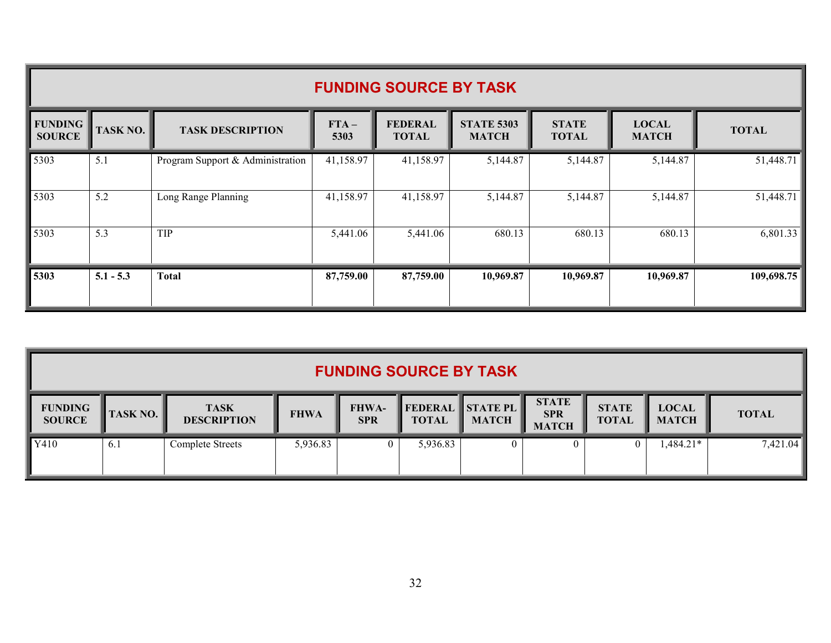|                                 | <b>FUNDING SOURCE BY TASK</b> |                                  |                |                                |                                   |                              |                              |              |  |  |  |
|---------------------------------|-------------------------------|----------------------------------|----------------|--------------------------------|-----------------------------------|------------------------------|------------------------------|--------------|--|--|--|
| <b>FUNDING</b><br><b>SOURCE</b> | <b>TASK NO.</b>               | <b>TASK DESCRIPTION</b>          | $FTA-$<br>5303 | <b>FEDERAL</b><br><b>TOTAL</b> | <b>STATE 5303</b><br><b>MATCH</b> | <b>STATE</b><br><b>TOTAL</b> | <b>LOCAL</b><br><b>MATCH</b> | <b>TOTAL</b> |  |  |  |
| 5303                            | 5.1                           | Program Support & Administration | 41,158.97      | 41,158.97                      | 5,144.87                          | 5,144.87                     | 5,144.87                     | 51,448.71    |  |  |  |
| 5303                            | 5.2                           | Long Range Planning              | 41,158.97      | 41,158.97                      | 5,144.87                          | 5,144.87                     | 5,144.87                     | 51,448.71    |  |  |  |
| 5303                            | 5.3                           | TIP                              | 5,441.06       | 5,441.06                       | 680.13                            | 680.13                       | 680.13                       | 6,801.33     |  |  |  |
| 5303                            | $5.1 - 5.3$                   | <b>Total</b>                     | 87,759.00      | 87,759.00                      | 10,969.87                         | 10,969.87                    | 10,969.87                    | 109,698.75   |  |  |  |

| <b>FUNDING SOURCE BY TASK</b>   |                 |                                   |             |                            |              |                                         |                                            |                              |                              |              |
|---------------------------------|-----------------|-----------------------------------|-------------|----------------------------|--------------|-----------------------------------------|--------------------------------------------|------------------------------|------------------------------|--------------|
| <b>FUNDING</b><br><b>SOURCE</b> | <b>TASK NO.</b> | <b>TASK</b><br><b>DESCRIPTION</b> | <b>FHWA</b> | <b>FHWA-</b><br><b>SPR</b> | <b>TOTAL</b> | <b>FEDERAL STATE PL</b><br><b>MATCH</b> | <b>STATE</b><br><b>SPR</b><br><b>MATCH</b> | <b>STATE</b><br><b>TOTAL</b> | <b>LOCAL</b><br><b>MATCH</b> | <b>TOTAL</b> |
| Y410                            | 6.1             | Complete Streets                  | 5,936.83    |                            | 5,936.83     |                                         |                                            | $\overline{0}$               | $1,484.21*$                  | 7,421.04     |